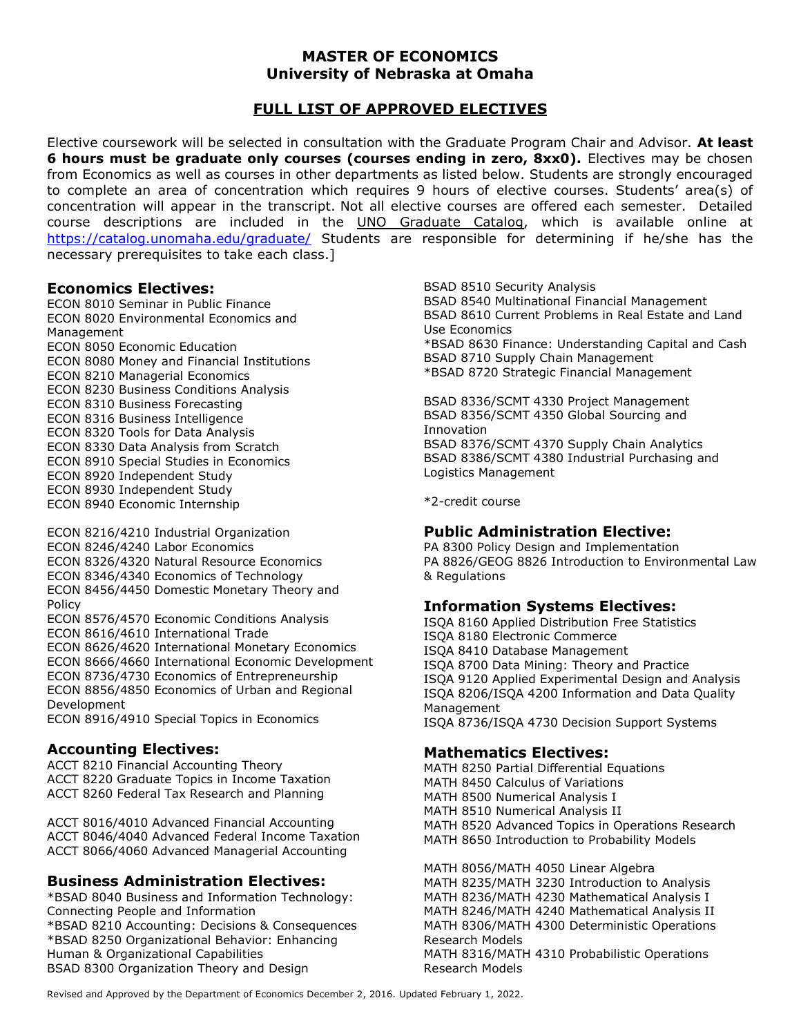### MASTER OF ECONOMICS University of Nebraska at Omaha

### FULL LIST OF APPROVED ELECTIVES

Elective coursework will be selected in consultation with the Graduate Program Chair and Advisor. At least 6 hours must be graduate only courses (courses ending in zero, 8xx0). Electives may be chosen from Economics as well as courses in other departments as listed below. Students are strongly encouraged to complete an area of concentration which requires 9 hours of elective courses. Students' area(s) of concentration will appear in the transcript. Not all elective courses are offered each semester. Detailed course descriptions are included in the UNO Graduate Catalog, which is available online at https://catalog.unomaha.edu/graduate/ Students are responsible for determining if he/she has the necessary prerequisites to take each class.]

### Economics Electives:

ECON 8010 Seminar in Public Finance ECON 8020 Environmental Economics and Management ECON 8050 Economic Education ECON 8080 Money and Financial Institutions ECON 8210 Managerial Economics ECON 8230 Business Conditions Analysis ECON 8310 Business Forecasting ECON 8316 Business Intelligence ECON 8320 Tools for Data Analysis ECON 8330 Data Analysis from Scratch ECON 8910 Special Studies in Economics ECON 8920 Independent Study ECON 8930 Independent Study ECON 8940 Economic Internship

ECON 8216/4210 Industrial Organization ECON 8246/4240 Labor Economics ECON 8326/4320 Natural Resource Economics ECON 8346/4340 Economics of Technology ECON 8456/4450 Domestic Monetary Theory and Policy ECON 8576/4570 Economic Conditions Analysis ECON 8616/4610 International Trade ECON 8626/4620 International Monetary Economics ECON 8666/4660 International Economic Development ECON 8736/4730 Economics of Entrepreneurship ECON 8856/4850 Economics of Urban and Regional Development ECON 8916/4910 Special Topics in Economics

# Accounting Electives:

ACCT 8210 Financial Accounting Theory ACCT 8220 Graduate Topics in Income Taxation ACCT 8260 Federal Tax Research and Planning

ACCT 8016/4010 Advanced Financial Accounting ACCT 8046/4040 Advanced Federal Income Taxation ACCT 8066/4060 Advanced Managerial Accounting

### Business Administration Electives:

\*BSAD 8040 Business and Information Technology: Connecting People and Information \*BSAD 8210 Accounting: Decisions & Consequences \*BSAD 8250 Organizational Behavior: Enhancing Human & Organizational Capabilities BSAD 8300 Organization Theory and Design

BSAD 8510 Security Analysis BSAD 8540 Multinational Financial Management BSAD 8610 Current Problems in Real Estate and Land Use Economics \*BSAD 8630 Finance: Understanding Capital and Cash BSAD 8710 Supply Chain Management \*BSAD 8720 Strategic Financial Management

BSAD 8336/SCMT 4330 Project Management BSAD 8356/SCMT 4350 Global Sourcing and Innovation BSAD 8376/SCMT 4370 Supply Chain Analytics BSAD 8386/SCMT 4380 Industrial Purchasing and Logistics Management

\*2-credit course

### Public Administration Elective:

PA 8300 Policy Design and Implementation PA 8826/GEOG 8826 Introduction to Environmental Law & Regulations

### Information Systems Electives:

ISQA 8160 Applied Distribution Free Statistics ISQA 8180 Electronic Commerce ISQA 8410 Database Management ISQA 8700 Data Mining: Theory and Practice ISQA 9120 Applied Experimental Design and Analysis ISQA 8206/ISQA 4200 Information and Data Quality Management ISQA 8736/ISQA 4730 Decision Support Systems

### Mathematics Electives:

MATH 8250 Partial Differential Equations MATH 8450 Calculus of Variations MATH 8500 Numerical Analysis I MATH 8510 Numerical Analysis II MATH 8520 Advanced Topics in Operations Research MATH 8650 Introduction to Probability Models

MATH 8056/MATH 4050 Linear Algebra MATH 8235/MATH 3230 Introduction to Analysis MATH 8236/MATH 4230 Mathematical Analysis I MATH 8246/MATH 4240 Mathematical Analysis II MATH 8306/MATH 4300 Deterministic Operations Research Models MATH 8316/MATH 4310 Probabilistic Operations Research Models

Revised and Approved by the Department of Economics December 2, 2016. Updated February 1, 2022.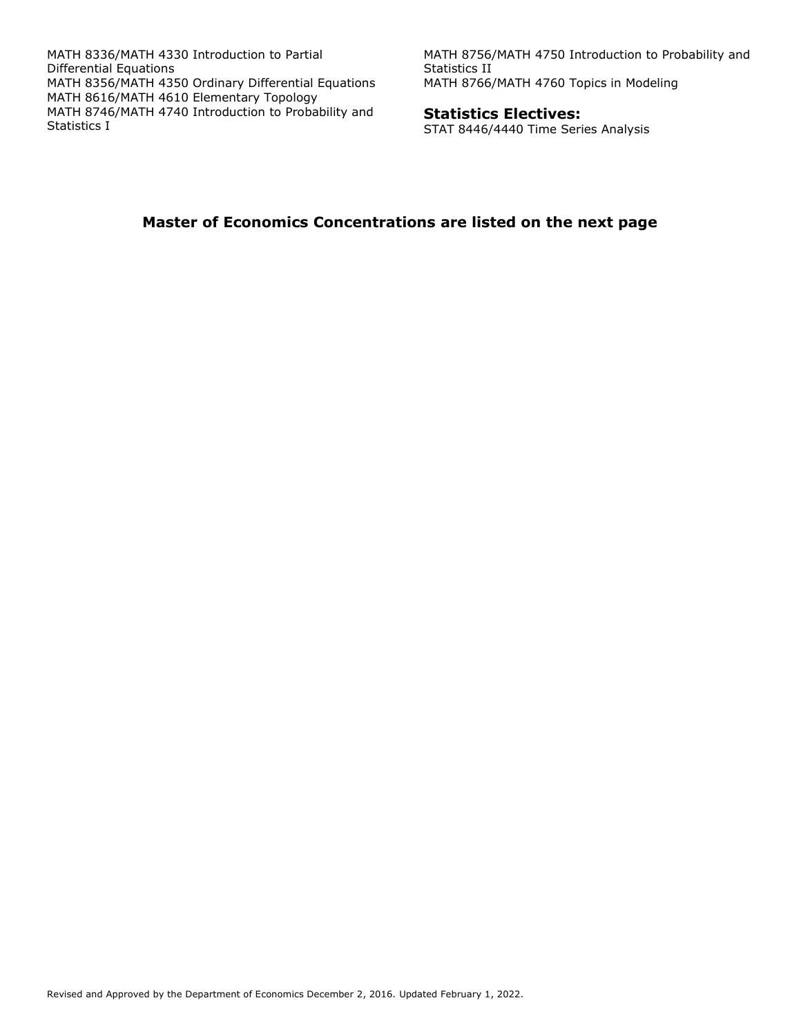MATH 8336/MATH 4330 Introduction to Partial Differential Equations MATH 8356/MATH 4350 Ordinary Differential Equations MATH 8616/MATH 4610 Elementary Topology MATH 8746/MATH 4740 Introduction to Probability and Statistics I

MATH 8756/MATH 4750 Introduction to Probability and Statistics II MATH 8766/MATH 4760 Topics in Modeling

#### Statistics Electives:

STAT 8446/4440 Time Series Analysis

### Master of Economics Concentrations are listed on the next page